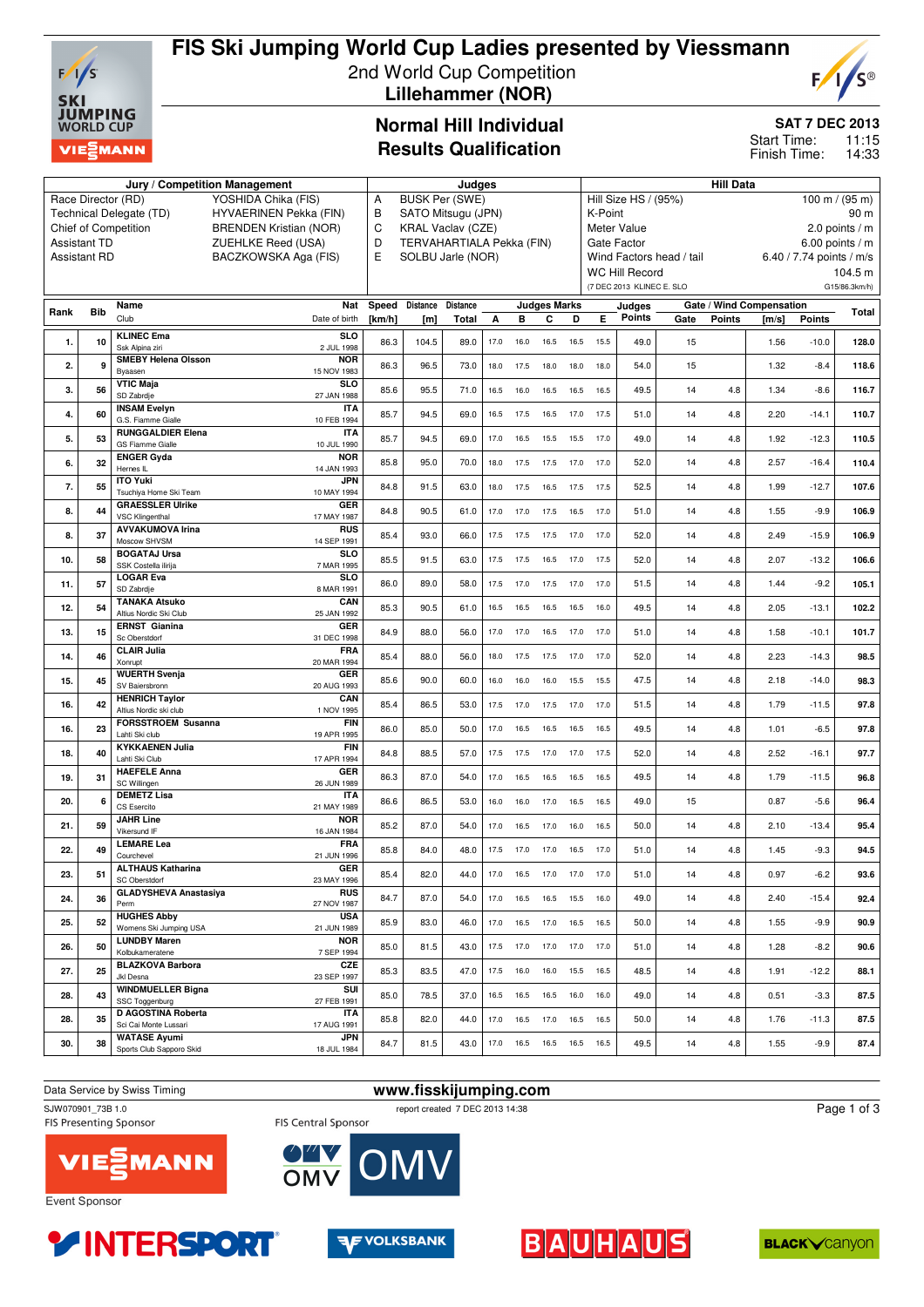

# **FIS Ski Jumping World Cup Ladies presented by Viessmann** 2nd World Cup Competition

 **Lillehammer (NOR)**



### **SAT 7 DEC 2013**

11:15 14:33 Start Time: Finish Time:

### **Normal Hill Individual Results Qualification**

|      |                     | Jury / Competition Management                   |                               | Judges                 |                           |                                 |      |           |                        |                                                      | <b>Hill Data</b>                                         |                           |                          |               |       |               |                 |  |
|------|---------------------|-------------------------------------------------|-------------------------------|------------------------|---------------------------|---------------------------------|------|-----------|------------------------|------------------------------------------------------|----------------------------------------------------------|---------------------------|--------------------------|---------------|-------|---------------|-----------------|--|
|      |                     | Race Director (RD)                              | YOSHIDA Chika (FIS)           | Α                      | <b>BUSK Per (SWE)</b>     |                                 |      |           |                        |                                                      | Hill Size HS / (95%)<br>$100 \text{ m} / (95 \text{ m})$ |                           |                          |               |       |               |                 |  |
|      |                     | Technical Delegate (TD)                         | HYVAERINEN Pekka (FIN)        | B                      | SATO Mitsugu (JPN)        |                                 |      |           |                        |                                                      | K-Point<br>90 m                                          |                           |                          |               |       |               |                 |  |
|      |                     | Chief of Competition                            | <b>BRENDEN Kristian (NOR)</b> | C                      | <b>KRAL Vaclav (CZE)</b>  |                                 |      |           |                        |                                                      |                                                          | Meter Value               |                          |               |       |               | 2.0 points $/m$ |  |
|      | <b>Assistant TD</b> |                                                 | ZUEHLKE Reed (USA)            | D                      | TERVAHARTIALA Pekka (FIN) |                                 |      |           |                        |                                                      | Gate Factor<br>6.00 points $/m$                          |                           |                          |               |       |               |                 |  |
|      | <b>Assistant RD</b> |                                                 | BACZKOWSKA Aga (FIS)          | E<br>SOLBU Jarle (NOR) |                           |                                 |      |           |                        | Wind Factors head / tail<br>6.40 / 7.74 points / m/s |                                                          |                           |                          |               |       |               |                 |  |
|      |                     |                                                 |                               |                        |                           |                                 |      |           |                        | <b>WC Hill Record</b>                                |                                                          |                           |                          |               |       | 104.5 m       |                 |  |
|      |                     |                                                 |                               |                        |                           |                                 |      |           |                        |                                                      |                                                          | (7 DEC 2013 KLINEC E. SLO |                          |               |       |               | G15/86.3km/h)   |  |
|      |                     | Name                                            | Nat                           | Speed                  | <b>Judges Marks</b>       |                                 |      |           |                        |                                                      |                                                          |                           | Gate / Wind Compensation |               |       |               |                 |  |
| Rank | <b>Bib</b>          | Club                                            | Date of birth                 | [km/h]                 | <b>Distance</b><br>[m]    | <b>Distance</b><br><b>Total</b> | A    | в         | C                      | D                                                    | Е                                                        | Judges<br>Points          | Gate                     | <b>Points</b> | [m/s] | <b>Points</b> | Total           |  |
|      |                     |                                                 |                               |                        |                           |                                 |      |           |                        |                                                      |                                                          |                           |                          |               |       |               |                 |  |
| 1.   | 10                  | <b>KLINEC Ema</b><br>Ssk Alpina ziri            | SL <sub>O</sub><br>2 JUL 1998 | 86.3                   | 104.5                     | 89.0                            | 17.0 | 16.0      | 16.5                   | 16.5                                                 | 15.5                                                     | 49.0                      | 15                       |               | 1.56  | $-10.0$       | 128.0           |  |
|      |                     | <b>SMEBY Helena Olsson</b>                      | <b>NOR</b>                    |                        |                           |                                 |      |           |                        |                                                      |                                                          |                           |                          |               |       |               |                 |  |
| 2.   | 9                   | Byaasen                                         | 15 NOV 1983                   | 86.3                   | 96.5                      | 73.0                            | 18.0 | 17.5      | 18.0                   | 18.0                                                 | 18.0                                                     | 54.0                      | 15                       |               | 1.32  | $-8.4$        | 118.6           |  |
| 3.   | 56                  | <b>VTIC Maja</b>                                | <b>SLO</b>                    | 85.6                   | 95.5                      | 71.0                            | 16.5 | 16.0      | 16.5                   | 16.5                                                 | 16.5                                                     | 49.5                      | 14                       | 4.8           | 1.34  | $-8.6$        | 116.7           |  |
|      |                     | SD Zabrdje<br><b>INSAM Evelyn</b>               | 27 JAN 1988<br><b>ITA</b>     |                        |                           |                                 |      |           |                        |                                                      |                                                          |                           |                          |               |       |               |                 |  |
| 4.   | 60                  | G.S. Fiamme Gialle                              | 10 FEB 1994                   | 85.7                   | 94.5                      | 69.0                            | 16.5 | 17.5      | 16.5                   | 17.0                                                 | 17.5                                                     | 51.0                      | 14                       | 4.8           | 2.20  | $-14.1$       | 110.7           |  |
|      |                     | <b>RUNGGALDIER Elena</b>                        | <b>ITA</b>                    |                        |                           |                                 |      |           |                        |                                                      |                                                          |                           |                          |               |       |               |                 |  |
| 5.   | 53                  | <b>GS Fiamme Gialle</b>                         | 10 JUL 1990                   | 85.7                   | 94.5                      | 69.0                            | 17.0 | 16.5      | 15.5                   | 15.5                                                 | 17.0                                                     | 49.0                      | 14                       | 4.8           | 1.92  | $-12.3$       | 110.5           |  |
| 6.   | 32                  | <b>ENGER Gyda</b>                               | <b>NOR</b>                    | 85.8                   | 95.0                      | 70.0                            | 18.0 | 17.5      | 17.5                   | 17.0                                                 | 17.0                                                     | 52.0                      | 14                       | 4.8           | 2.57  | $-16.4$       | 110.4           |  |
|      |                     | Hernes IL<br><b>ITO Yuki</b>                    | 14 JAN 1993<br><b>JPN</b>     |                        |                           |                                 |      |           |                        |                                                      |                                                          |                           |                          |               |       |               |                 |  |
| 7.   | 55                  | Tsuchiya Home Ski Team                          | 10 MAY 1994                   | 84.8                   | 91.5                      | 63.0                            | 18.0 | 17.5      | 16.5                   | 17.5                                                 | 17.5                                                     | 52.5                      | 14                       | 4.8           | 1.99  | $-12.7$       | 107.6           |  |
|      |                     | <b>GRAESSLER Ulrike</b>                         | GER                           |                        |                           |                                 |      |           |                        |                                                      |                                                          |                           |                          |               |       |               |                 |  |
| 8.   | 44                  | <b>VSC Klingenthal</b>                          | 17 MAY 1987                   | 84.8                   | 90.5                      | 61.0                            | 17.0 | 17.0      | 17.5                   | 16.5                                                 | 17.0                                                     | 51.0                      | 14                       | 4.8           | 1.55  | $-9.9$        | 106.9           |  |
| 8.   | 37                  | <b>AVVAKUMOVA Irina</b>                         | RUS                           | 85.4                   | 93.0                      | 66.0                            | 17.5 | 17.5      | 17.5                   | 17.0                                                 | 17.0                                                     | 52.0                      | 14                       | 4.8           | 2.49  | $-15.9$       | 106.9           |  |
|      |                     | Moscow SHVSM<br><b>BOGATAJ Ursa</b>             | 14 SEP 1991<br>SL O           |                        |                           |                                 |      |           |                        |                                                      |                                                          |                           |                          |               |       |               |                 |  |
| 10.  | 58                  | SSK Costella ilirija                            | 7 MAR 1995                    | 85.5                   | 91.5                      | 63.0                            | 17.5 | 17.5      | 16.5                   | 17.0                                                 | 17.5                                                     | 52.0                      | 14                       | 4.8           | 2.07  | $-13.2$       | 106.6           |  |
|      |                     | <b>LOGAR Eva</b>                                | SL <sub>O</sub>               |                        |                           |                                 |      |           |                        |                                                      |                                                          |                           |                          |               |       |               |                 |  |
| 11.  | 57                  | SD Zabrdje                                      | 8 MAR 1991                    | 86.0                   | 89.0                      | 58.0                            | 17.5 | 17.0      | 17.5                   | 17.0                                                 | 17.0                                                     | 51.5                      | 14                       | 4.8           | 1.44  | $-9.2$        | 105.1           |  |
| 12.  | 54                  | <b>TANAKA Atsuko</b><br>Altius Nordic Ski Club  | CAN                           | 85.3                   | 90.5                      | 61.0                            | 16.5 | 16.5      | 16.5                   | 16.5                                                 | 16.0                                                     | 49.5                      | 14                       | 4.8           | 2.05  | $-13.1$       | 102.2           |  |
|      |                     | <b>ERNST Gianina</b>                            | 25 JAN 1992<br><b>GER</b>     |                        |                           |                                 |      |           |                        |                                                      |                                                          |                           |                          |               |       |               |                 |  |
| 13.  | 15                  | Sc Oberstdorf                                   | 31 DEC 1998                   | 84.9                   | 88.0                      | 56.0                            | 17.0 | 17.0      | 16.5                   | 17.0                                                 | 17.0                                                     | 51.0                      | 14                       | 4.8           | 1.58  | $-10.1$       | 101.7           |  |
| 14.  | 46                  | <b>CLAIR Julia</b>                              | FRA                           | 85.4                   | 88.0                      | 56.0                            | 18.0 | 17.5      | 17.5                   | 17.0                                                 | 17.0                                                     | 52.0                      | 14                       | 4.8           | 2.23  | $-14.3$       | 98.5            |  |
|      |                     | Xonrupt                                         | 20 MAR 1994                   |                        |                           |                                 |      |           |                        |                                                      |                                                          |                           |                          |               |       |               |                 |  |
| 15.  | 45                  | <b>WUERTH Svenja</b><br>SV Baiersbronn          | GER<br>20 AUG 1993            | 85.6                   | 90.0                      | 60.0                            | 16.0 | 16.0      | 16.0                   | 15.5                                                 | 15.5                                                     | 47.5                      | 14                       | 4.8           | 2.18  | $-14.0$       | 98.3            |  |
|      |                     | <b>HENRICH Taylor</b>                           | CAN                           |                        |                           |                                 |      |           |                        |                                                      |                                                          |                           |                          |               |       |               |                 |  |
| 16.  | 42                  | Altius Nordic ski club                          | 1 NOV 1995                    | 85.4                   | 86.5                      | 53.0                            | 17.5 | 17.0      | 17.5                   | 17.0                                                 | 17.0                                                     | 51.5                      | 14                       | 4.8           | 1.79  | $-11.5$       | 97.8            |  |
| 16.  | 23                  | <b>FORSSTROEM Susanna</b>                       | <b>FIN</b>                    | 86.0                   | 85.0                      | 50.0                            | 17.0 | 16.5      | 16.5                   | 16.5                                                 | 16.5                                                     | 49.5                      | 14                       | 4.8           | 1.01  | $-6.5$        | 97.8            |  |
|      |                     | Lahti Ski club<br><b>KYKKAENEN Julia</b>        | 19 APR 1995<br><b>FIN</b>     |                        |                           |                                 |      |           |                        |                                                      |                                                          |                           |                          |               |       |               |                 |  |
| 18.  | 40                  | Lahti Ski Club                                  | 17 APR 1994                   | 84.8                   | 88.5                      | 57.0                            | 17.5 | 17.5      | 17.0                   | 17.0                                                 | 17.5                                                     | 52.0                      | 14                       | 4.8           | 2.52  | $-16.1$       | 97.7            |  |
| 19.  | 31                  | <b>HAEFELE Anna</b>                             | GER                           | 86.3                   | 87.0                      | 54.0                            | 17.0 | 16.5      | 16.5                   | 16.5                                                 | 16.5                                                     | 49.5                      | 14                       | 4.8           | 1.79  | $-11.5$       | 96.8            |  |
|      |                     | SC Willingen                                    | 26 JUN 1989                   |                        |                           |                                 |      |           |                        |                                                      |                                                          |                           |                          |               |       |               |                 |  |
| 20.  | 6                   | <b>DEMETZ Lisa</b><br>CS Esercito               | <b>ITA</b><br>21 MAY 1989     | 86.6                   | 86.5                      | 53.0                            | 16.0 | 16.0      | 17.0                   | 16.5                                                 | 16.5                                                     | 49.0                      | 15                       |               | 0.87  | $-5.6$        | 96.4            |  |
|      |                     | <b>JAHR Line</b>                                | <b>NOR</b>                    |                        |                           |                                 |      |           |                        |                                                      |                                                          |                           |                          |               |       |               |                 |  |
| 21.  | 59                  | Vikersund IF                                    | 16 JAN 1984                   | 85.2                   | 87.0                      | 54.0                            | 17.0 | 16.5      | 17.0                   | 16.0                                                 | 16.5                                                     | 50.0                      | 14                       | 4.8           | 2.10  | $-13.4$       | 95.4            |  |
| 22.  | 49                  | <b>LEMARE Lea</b>                               | FRA                           | 85.8                   | 84.0                      | 48.0                            | 17.5 | 17.0      | 17.0                   | 16.5                                                 | 17.0                                                     | 51.0                      | 14                       | 4.8           | 1.45  | $-9.3$        | 94.5            |  |
|      |                     | Courchevel<br><b>ALTHAUS Katharina</b>          | 21 JUN 1996<br>GER            |                        |                           |                                 |      |           |                        |                                                      |                                                          |                           |                          |               |       |               |                 |  |
| 23.  | 51                  | SC Oberstdorf                                   | 23 MAY 1996                   | 85.4                   | 82.0                      | 44.0                            |      |           | 17.0  16.5  17.0  17.0 |                                                      | 17.0                                                     | 51.0                      | 14                       | 4.8           | 0.97  | $-6.2$        | 93.6            |  |
| 24.  | 36                  | <b>GLADYSHEVA Anastasiya</b>                    | <b>RUS</b>                    | 84.7                   | 87.0                      | 54.0                            | 17.0 | 16.5      | 16.5                   |                                                      | 15.5 16.0                                                | 49.0                      | 14                       | 4.8           | 2.40  | $-15.4$       | 92.4            |  |
|      |                     | Perm                                            | 27 NOV 1987                   |                        |                           |                                 |      |           |                        |                                                      |                                                          |                           |                          |               |       |               |                 |  |
| 25.  | 52                  | <b>HUGHES Abby</b><br>Womens Ski Jumping USA    | <b>USA</b><br>21 JUN 1989     | 85.9                   | 83.0                      | 46.0                            | 17.0 | 16.5      | 17.0                   | 16.5                                                 | 16.5                                                     | 50.0                      | 14                       | 4.8           | 1.55  | $-9.9$        | 90.9            |  |
|      |                     | <b>LUNDBY Maren</b>                             | <b>NOR</b>                    |                        |                           |                                 |      |           |                        |                                                      |                                                          |                           |                          |               |       |               |                 |  |
| 26.  | 50                  | Kolbukameratene                                 | 7 SEP 1994                    | 85.0                   | 81.5                      | 43.0                            |      | 17.5 17.0 | 17.0                   |                                                      | 17.0 17.0                                                | 51.0                      | 14                       | 4.8           | 1.28  | $-8.2$        | 90.6            |  |
| 27.  | 25                  | <b>BLAZKOVA Barbora</b>                         | CZE                           | 85.3                   | 83.5                      | 47.0                            | 17.5 | 16.0      | 16.0                   | 15.5                                                 | 16.5                                                     | 48.5                      | 14                       | 4.8           | 1.91  | $-12.2$       | 88.1            |  |
|      |                     | Jkl Desna<br><b>WINDMUELLER Bigna</b>           | 23 SEP 1997<br>SUI            |                        |                           |                                 |      |           |                        |                                                      |                                                          |                           |                          |               |       |               |                 |  |
| 28.  | 43                  | SSC Toggenburg                                  | 27 FEB 1991                   | 85.0                   | 78.5                      | 37.0                            | 16.5 | 16.5      | 16.5                   | 16.0                                                 | 16.0                                                     | 49.0                      | 14                       | 4.8           | 0.51  | $-3.3$        | 87.5            |  |
| 28.  | 35                  | <b>D AGOSTINA Roberta</b>                       | <b>ITA</b>                    | 85.8                   | 82.0                      | 44.0                            | 17.0 | 16.5      | 17.0                   | 16.5                                                 | 16.5                                                     | 50.0                      | 14                       | 4.8           | 1.76  | $-11.3$       | 87.5            |  |
|      |                     | Sci Cai Monte Lussari                           | 17 AUG 1991                   |                        |                           |                                 |      |           |                        |                                                      |                                                          |                           |                          |               |       |               |                 |  |
| 30.  | 38                  | <b>WATASE Ayumi</b><br>Sports Club Sapporo Skid | <b>JPN</b><br>18 JUL 1984     | 84.7                   | 81.5                      | 43.0                            |      | 17.0 16.5 | 16.5                   | 16.5                                                 | 16.5                                                     | 49.5                      | 14                       | 4.8           | 1.55  | $-9.9$        | 87.4            |  |
|      |                     |                                                 |                               |                        |                           |                                 |      |           |                        |                                                      |                                                          |                           |                          |               |       |               |                 |  |











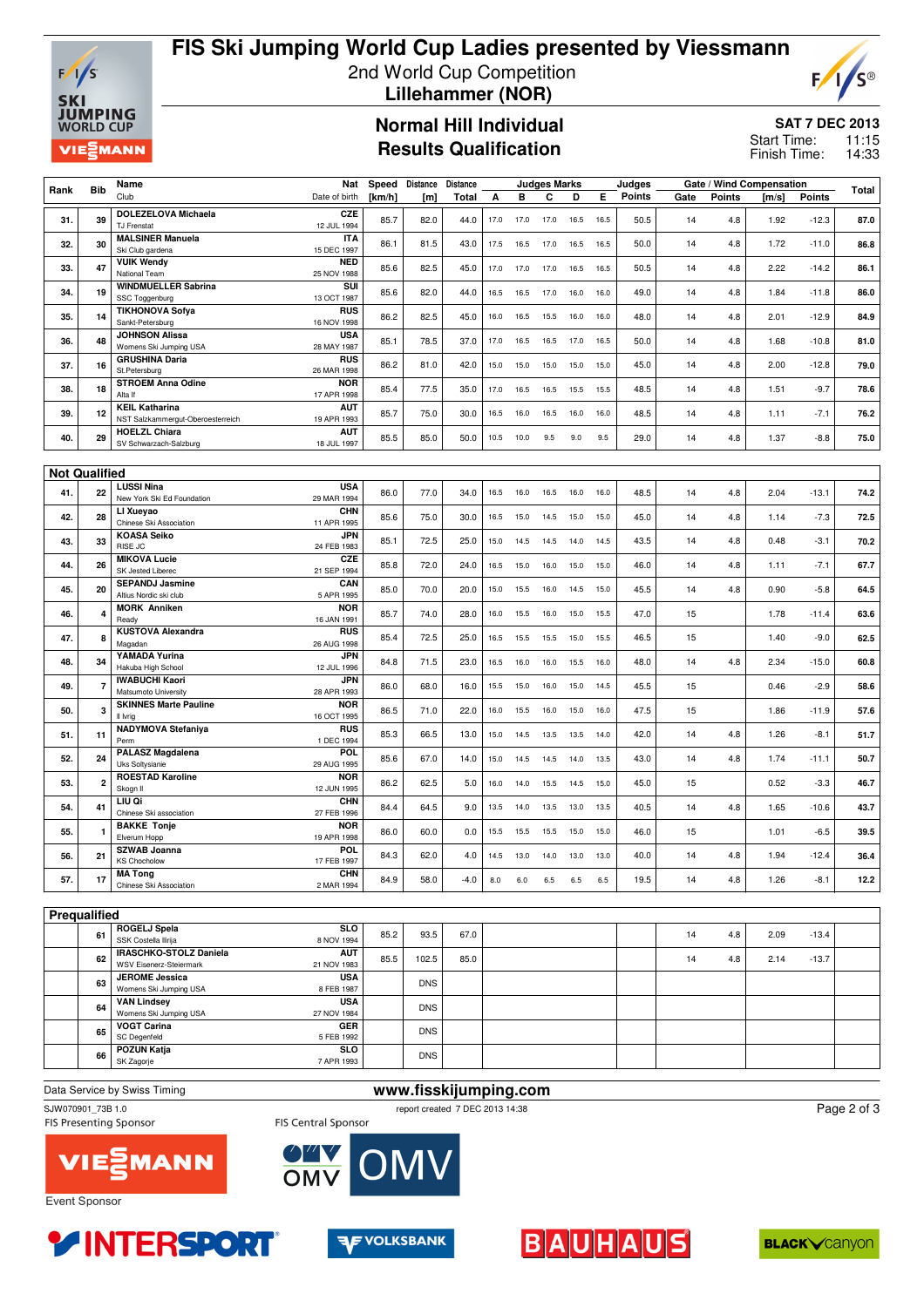

### **FIS Ski Jumping World Cup Ladies presented by Viessmann** 2nd World Cup Competition  **Lillehammer (NOR)**



**SAT 7 DEC 2013**

11:15 14:33 Start Time:

**Normal Hill Individual Results Qualification**

Finish Time:

|      | <b>Bib</b>              | Name                                                  | Nat                       | Speed  | <b>Distance</b> | <b>Distance</b> |      |      | <b>Judges Marks</b> |      |      | Judges |      |               | Gate / Wind Compensation |               |              |
|------|-------------------------|-------------------------------------------------------|---------------------------|--------|-----------------|-----------------|------|------|---------------------|------|------|--------|------|---------------|--------------------------|---------------|--------------|
| Rank |                         | Club                                                  | Date of birth             | [km/h] | [m]             | <b>Total</b>    | A    | в    | C                   | D    | Е    | Points | Gate | <b>Points</b> | [m/s]                    | <b>Points</b> | <b>Total</b> |
| 31.  | 39                      | <b>DOLEZELOVA Michaela</b><br><b>TJ Frenstat</b>      | CZE<br>12 JUL 1994        | 85.7   | 82.0            | 44.0            | 17.0 | 17.0 | 17.0                | 16.5 | 16.5 | 50.5   | 14   | 4.8           | 1.92                     | $-12.3$       | 87.0         |
| 32.  | 30                      | <b>MALSINER Manuela</b>                               | <b>ITA</b>                | 86.1   | 81.5            | 43.0            | 17.5 | 16.5 | 17.0                | 16.5 | 16.5 | 50.0   | 14   | 4.8           | 1.72                     | $-11.0$       | 86.8         |
|      |                         | Ski Club gardena                                      | 15 DEC 1997               |        |                 |                 |      |      |                     |      |      |        |      |               |                          |               |              |
| 33.  | 47                      | <b>VUIK Wendy</b><br>National Team                    | <b>NED</b><br>25 NOV 1988 | 85.6   | 82.5            | 45.0            | 17.0 | 17.0 | 17.0                | 16.5 | 16.5 | 50.5   | 14   | 4.8           | 2.22                     | $-14.2$       | 86.1         |
| 34.  | 19                      | <b>WINDMUELLER Sabrina</b><br>SSC Toggenburg          | SUI<br>13 OCT 1987        | 85.6   | 82.0            | 44.0            | 16.5 | 16.5 | 17.0                | 16.0 | 16.0 | 49.0   | 14   | 4.8           | 1.84                     | $-11.8$       | 86.0         |
| 35.  | 14                      | <b>TIKHONOVA Sofya</b><br>Sankt-Petersburg            | RUS<br>16 NOV 1998        | 86.2   | 82.5            | 45.0            | 16.0 | 16.5 | 15.5                | 16.0 | 16.0 | 48.0   | 14   | 4.8           | 2.01                     | $-12.9$       | 84.9         |
| 36.  | 48                      | <b>JOHNSON Alissa</b><br>Womens Ski Jumping USA       | <b>USA</b><br>28 MAY 1987 | 85.1   | 78.5            | 37.0            | 17.0 | 16.5 | 16.5                | 17.0 | 16.5 | 50.0   | 14   | 4.8           | 1.68                     | $-10.8$       | 81.0         |
| 37.  | 16                      | <b>GRUSHINA Daria</b><br>St.Petersburg                | RUS<br>26 MAR 1998        | 86.2   | 81.0            | 42.0            | 15.0 | 15.0 | 15.0                | 15.0 | 15.0 | 45.0   | 14   | 4.8           | 2.00                     | $-12.8$       | 79.0         |
| 38.  | 18                      | <b>STROEM Anna Odine</b><br>Alta If                   | <b>NOR</b><br>17 APR 1998 | 85.4   | 77.5            | 35.0            | 17.0 | 16.5 | 16.5                | 15.5 | 15.5 | 48.5   | 14   | 4.8           | 1.51                     | $-9.7$        | 78.6         |
|      |                         | <b>KEIL Katharina</b>                                 | <b>AUT</b>                |        |                 |                 |      |      |                     |      |      |        |      |               |                          |               |              |
| 39.  | 12                      | NST Salzkammergut-Oberoesterreich                     | 19 APR 1993               | 85.7   | 75.0            | 30.0            | 16.5 | 16.0 | 16.5                | 16.0 | 16.0 | 48.5   | 14   | 4.8           | 1.11                     | $-7.1$        | 76.2         |
| 40.  | 29                      | <b>HOELZL Chiara</b><br>SV Schwarzach-Salzburg        | <b>AUT</b><br>18 JUL 1997 | 85.5   | 85.0            | 50.0            | 10.5 | 10.0 | 9.5                 | 9.0  | 9.5  | 29.0   | 14   | 4.8           | 1.37                     | $-8.8$        | 75.0         |
|      |                         |                                                       |                           |        |                 |                 |      |      |                     |      |      |        |      |               |                          |               |              |
|      | <b>Not Qualified</b>    |                                                       |                           |        |                 |                 |      |      |                     |      |      |        |      |               |                          |               |              |
| 41.  | 22                      | <b>LUSSI Nina</b>                                     | <b>USA</b>                | 86.0   | 77.0            | 34.0            | 16.5 | 16.0 | 16.5                | 16.0 | 16.0 | 48.5   | 14   | 4.8           | 2.04                     | $-13.1$       | 74.2         |
|      |                         | New York Ski Ed Foundation                            | 29 MAR 1994               |        |                 |                 |      |      |                     |      |      |        |      |               |                          |               |              |
| 42.  | 28                      | LI Xueyao<br>Chinese Ski Association                  | CHN<br>11 APR 1995        | 85.6   | 75.0            | 30.0            | 16.5 | 15.0 | 14.5                | 15.0 | 15.0 | 45.0   | 14   | 4.8           | 1.14                     | $-7.3$        | 72.5         |
| 43.  | 33                      | <b>KOASA Seiko</b>                                    | <b>JPN</b>                | 85.1   | 72.5            | 25.0            | 15.0 | 14.5 | 14.5                | 14.0 | 14.5 | 43.5   | 14   | 4.8           | 0.48                     | $-3.1$        | 70.2         |
|      |                         | RISE JC<br><b>MIKOVA Lucie</b>                        | 24 FEB 1983<br>CZE        |        |                 |                 |      |      |                     |      |      |        |      |               |                          |               |              |
| 44.  | 26                      | SK Jested Liberec                                     | 21 SEP 1994               | 85.8   | 72.0            | 24.0            | 16.5 | 15.0 | 16.0                | 15.0 | 15.0 | 46.0   | 14   | 4.8           | 1.11                     | $-7.1$        | 67.7         |
| 45.  | 20                      | <b>SEPANDJ Jasmine</b>                                | CAN                       | 85.0   | 70.0            | 20.0            | 15.0 | 15.5 | 16.0                | 14.5 | 15.0 | 45.5   | 14   | 4.8           | 0.90                     | $-5.8$        | 64.5         |
| 46.  | 4                       | Altius Nordic ski club<br><b>MORK Anniken</b>         | 5 APR 1995<br><b>NOR</b>  | 85.7   | 74.0            | 28.0            | 16.0 | 15.5 | 16.0                | 15.0 | 15.5 | 47.0   | 15   |               | 1.78                     | $-11.4$       | 63.6         |
|      |                         | Ready                                                 | 16 JAN 1991               |        |                 |                 |      |      |                     |      |      |        |      |               |                          |               |              |
| 47.  | 8                       | <b>KUSTOVA Alexandra</b><br>Magadan                   | RUS<br>26 AUG 1998        | 85.4   | 72.5            | 25.0            | 16.5 | 15.5 | 15.5                | 15.0 | 15.5 | 46.5   | 15   |               | 1.40                     | $-9.0$        | 62.5         |
|      |                         | YAMADA Yurina                                         | <b>JPN</b>                |        |                 |                 |      |      |                     |      |      |        |      |               |                          |               |              |
| 48.  | 34                      | Hakuba High School                                    | 12 JUL 1996               | 84.8   | 71.5            | 23.0            | 16.5 | 16.0 | 16.0                | 15.5 | 16.0 | 48.0   | 14   | 4.8           | 2.34                     | $-15.0$       | 60.8         |
| 49.  | $\overline{\mathbf{r}}$ | <b>IWABUCHI Kaori</b><br>Matsumoto University         | <b>JPN</b><br>28 APR 1993 | 86.0   | 68.0            | 16.0            | 15.5 | 15.0 | 16.0                | 15.0 | 14.5 | 45.5   | 15   |               | 0.46                     | $-2.9$        | 58.6         |
| 50.  |                         | <b>SKINNES Marte Pauline</b>                          | <b>NOR</b>                | 86.5   | 71.0            |                 |      |      |                     |      |      | 47.5   |      |               |                          |               | 57.6         |
|      | 3                       | Il Ivria                                              | 16 OCT 1995               |        |                 | 22.0            | 16.0 | 15.5 | 16.0                | 15.0 | 16.0 |        | 15   |               | 1.86                     | $-11.9$       |              |
| 51.  | 11                      | <b>NADYMOVA Stefaniya</b><br>Perm                     | RUS<br>1 DEC 1994         | 85.3   | 66.5            | 13.0            | 15.0 | 14.5 | 13.5                | 13.5 | 14.0 | 42.0   | 14   | 4.8           | 1.26                     | $-8.1$        | 51.7         |
| 52.  | 24                      | <b>PALASZ Magdalena</b><br>Uks Soltysianie            | POL.<br>29 AUG 1995       | 85.6   | 67.0            | 14.0            | 15.0 | 14.5 | 14.5                | 14.0 | 13.5 | 43.0   | 14   | 4.8           | 1.74                     | $-11.1$       | 50.7         |
| 53.  | $\overline{\mathbf{2}}$ | <b>ROESTAD Karoline</b><br>Skogn II                   | <b>NOR</b><br>12 JUN 1995 | 86.2   | 62.5            | 5.0             | 16.0 | 14.0 | 15.5                | 14.5 | 15.0 | 45.0   | 15   |               | 0.52                     | $-3.3$        | 46.7         |
| 54.  | 41                      | LIU Qi<br>Chinese Ski association                     | <b>CHN</b><br>27 FEB 1996 | 84.4   | 64.5            | 9.0             | 13.5 | 14.0 | 13.5                | 13.0 | 13.5 | 40.5   | 14   | 4.8           | 1.65                     | $-10.6$       | 43.7         |
| 55.  | 1                       | <b>BAKKE Tonje</b><br>Elverum Hopp                    | <b>NOR</b><br>19 APR 1998 | 86.0   | 60.0            | 0.0             | 15.5 | 15.5 | 15.5                | 15.0 | 15.0 | 46.0   | 15   |               | 1.01                     | $-6.5$        | 39.5         |
| 56.  | 21                      | <b>SZWAB Joanna</b><br><b>KS Chocholow</b>            | POL.<br>17 FEB 1997       | 84.3   | 62.0            | 4.0             | 14.5 | 13.0 | 14.0                | 13.0 | 13.0 | 40.0   | 14   | 4.8           | 1.94                     | $-12.4$       | 36.4         |
| 57.  | 17                      | <b>MA Tong</b>                                        | <b>CHN</b>                | 84.9   | 58.0            | $-4.0$          | 8.0  | 6.0  | 6.5                 | 6.5  | 6.5  | 19.5   | 14   | 4.8           | 1.26                     | $-8.1$        | 12.2         |
|      |                         | Chinese Ski Association                               | 2 MAR 1994                |        |                 |                 |      |      |                     |      |      |        |      |               |                          |               |              |
|      | <b>Prequalified</b>     |                                                       |                           |        |                 |                 |      |      |                     |      |      |        |      |               |                          |               |              |
|      | 61                      | <b>ROGELJ Spela</b>                                   | <b>SLO</b>                | 85.2   | 93.5            | 67.0            |      |      |                     |      |      |        | 14   | 4.8           | 2.09                     | $-13.4$       |              |
|      |                         | SSK Costella Ilirija<br><b>IRASCHKO-STOLZ Daniela</b> | 8 NOV 1994<br><b>AUT</b>  |        |                 |                 |      |      |                     |      |      |        |      |               |                          |               |              |
|      | 62                      | <b>WSV Eisenerz-Steiermark</b>                        | 21 NOV 1983               | 85.5   | 102.5           | 85.0            |      |      |                     |      |      |        | 14   | 4.8           | 2.14                     | $-13.7$       |              |

|  | 61 | 100000000000            | ິ           | 85.2 | 93.5       | 67.0 |  | 14 | 4.8 | 2.09 | $-13.4$ |  |
|--|----|-------------------------|-------------|------|------------|------|--|----|-----|------|---------|--|
|  |    | SSK Costella Ilirija    | 8 NOV 1994  |      |            |      |  |    |     |      |         |  |
|  | 62 | IRASCHKO-STOLZ Daniela  | <b>AUT</b>  | 85.5 | 102.5      | 85.0 |  | 14 | 4.8 | 2.14 | $-13.7$ |  |
|  |    | WSV Eisenerz-Steiermark | 21 NOV 1983 |      |            |      |  |    |     |      |         |  |
|  | 63 | <b>JEROME Jessica</b>   | <b>USA</b>  |      | <b>DNS</b> |      |  |    |     |      |         |  |
|  |    | Womens Ski Jumping USA  | 8 FEB 1987  |      |            |      |  |    |     |      |         |  |
|  | 64 | <b>VAN Lindsey</b>      | <b>USA</b>  |      | <b>DNS</b> |      |  |    |     |      |         |  |
|  |    | Womens Ski Jumping USA  | 27 NOV 1984 |      |            |      |  |    |     |      |         |  |
|  | 65 | <b>VOGT Carina</b>      | <b>GER</b>  |      | <b>DNS</b> |      |  |    |     |      |         |  |
|  |    | SC Degenfeld            | 5 FEB 1992  |      |            |      |  |    |     |      |         |  |
|  | 66 | <b>POZUN Katja</b>      | SLO         |      | <b>DNS</b> |      |  |    |     |      |         |  |
|  |    | SK Zagorje              | 7 APR 1993  |      |            |      |  |    |     |      |         |  |
|  |    |                         |             |      |            |      |  |    |     |      |         |  |

### Data Service by Swiss Timing **www.fisskijumping.com**<br>
SJW070901 73B 1.0<br> **www.fisskijumping.com** SJW070901\_73B 1.0 report created 7 DEC 2013 14:38<br>FIS Central Sponsor FIS Central Sponsor FIS Central Sponsor

Page 2 of 3